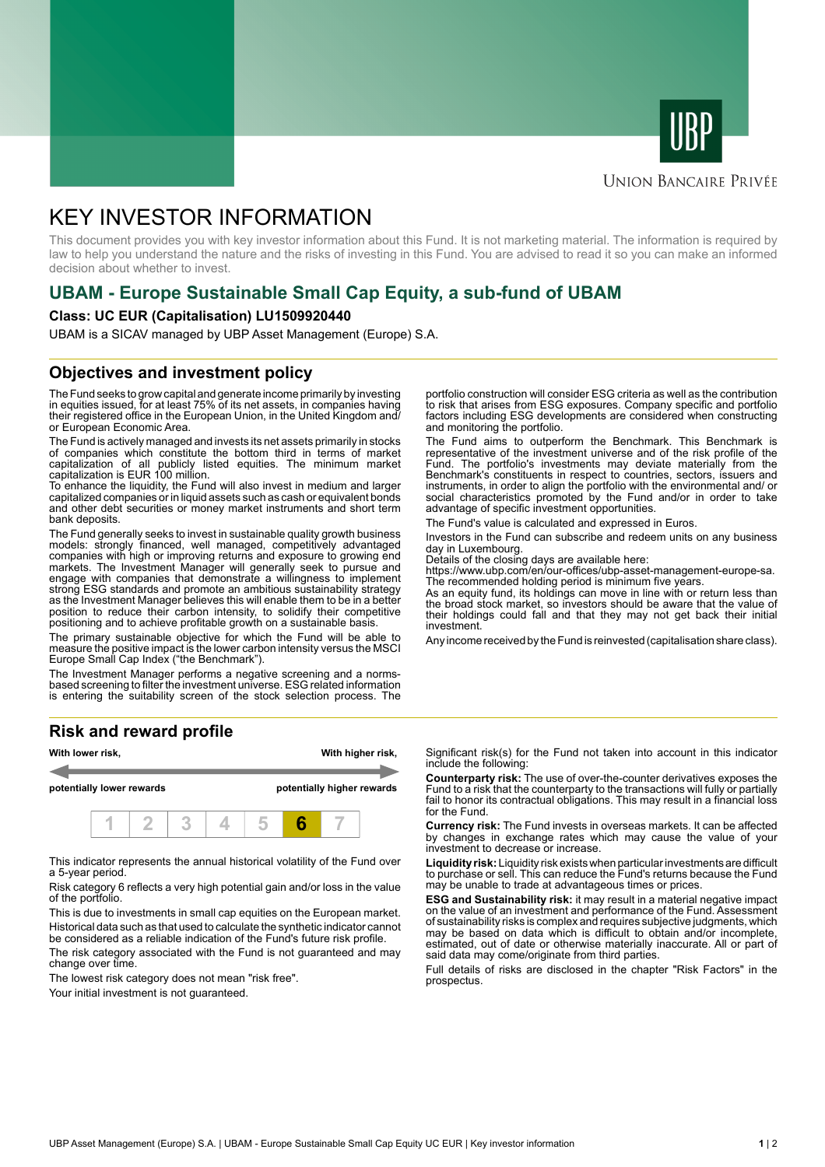



## **UNION BANCAIRE PRIVÉE**

# KEY INVESTOR INFORMATION

This document provides you with key investor information about this Fund. It is not marketing material. The information is required by law to help you understand the nature and the risks of investing in this Fund. You are advised to read it so you can make an informed decision about whether to invest.

# **UBAM - Europe Sustainable Small Cap Equity, a sub-fund of UBAM**

#### **Class: UC EUR (Capitalisation) LU1509920440**

UBAM is a SICAV managed by UBP Asset Management (Europe) S.A.

# **Objectives and investment policy**

The Fund seeks to grow capital and generate income primarily by investing in equities issued, for at least 75% of its net assets, in companies having their registered office in the European Union, in the United Kingdom and/ or European Economic Area.

The Fund is actively managed and invests its net assets primarily in stocks of companies which constitute the bottom third in terms of market capitalization of all publicly listed equities. The minimum market capitalization is EUR 100 million.

To enhance the liquidity, the Fund will also invest in medium and larger capitalized companies or in liquid assets such as cash or equivalent bonds and other debt securities or money market instruments and short term bank deposits.

The Fund generally seeks to invest in sustainable quality growth business models: strongly financed, well managed, competitively advantaged companies with high or improving returns and exposure to growing end markets. The Investment Manager will generally seek to pursue and engage with companies that demonstrate a willingness to implement strong ESG standards and promote an ambitious sustainability strategy as the Investment Manager believes this will enable them to be in a better position to reduce their carbon intensity, to solidify their competitive positioning and to achieve profitable growth on a sustainable basis.

The primary sustainable objective for which the Fund will be able to measure the positive impact is the lower carbon intensity versus the MSCI Europe Small Cap Index ("the Benchmark").

The Investment Manager performs a negative screening and a normsbased screening to filter the investment universe. ESG related information is entering the suitability screen of the stock selection process. The

### **Risk and reward profile**



This indicator represents the annual historical volatility of the Fund over a 5-year period.

Risk category 6 reflects a very high potential gain and/or loss in the value of the portfolio.

This is due to investments in small cap equities on the European market. Historical data such as that used to calculate the synthetic indicator cannot be considered as a reliable indication of the Fund's future risk profile.

The risk category associated with the Fund is not guaranteed and may change over time.

The lowest risk category does not mean "risk free".

Your initial investment is not quaranteed.

portfolio construction will consider ESG criteria as well as the contribution to risk that arises from ESG exposures. Company specific and portfolio factors including ESG developments are considered when constructing and monitoring the portfolio.

The Fund aims to outperform the Benchmark. This Benchmark is representative of the investment universe and of the risk profile of the Fund. The portfolio's investments may deviate materially from the Benchmark's constituents in respect to countries, sectors, issuers and instruments, in order to align the portfolio with the environmental and/ or social characteristics promoted by the Fund and/or in order to take advantage of specific investment opportunities.

The Fund's value is calculated and expressed in Euros.

Investors in the Fund can subscribe and redeem units on any business day in Luxembourg.

Details of the closing days are available here:

https://www.ubp.com/en/our-offices/ubp-asset-management-europe-sa.

The recommended holding period is minimum five years. As an equity fund, its holdings can move in line with or return less than the broad stock market, so investors should be aware that the value of their holdings could fall and that they may not get back their initial investment.

Any income received by the Fund is reinvested (capitalisation share class).

Significant risk(s) for the Fund not taken into account in this indicator include the following:

**Counterparty risk:** The use of over-the-counter derivatives exposes the Fund to a risk that the counterparty to the transactions will fully or partially fail to honor its contractual obligations. This may result in a financial loss for the Fund.

**Currency risk:** The Fund invests in overseas markets. It can be affected by changes in exchange rates which may cause the value of your investment to decrease or increase.

**Liquidity risk:** Liquidity risk exists when particular investments are difficult to purchase or sell. This can reduce the Fund's returns because the Fund may be unable to trade at advantageous times or prices.

**ESG and Sustainability risk:** it may result in a material negative impact on the value of an investment and performance of the Fund. Assessment of sustainability risks is complex and requires subjective judgments, which may be based on data which is difficult to obtain and/or incomplete, estimated, out of date or otherwise materially inaccurate. All or part of said data may come/originate from third parties.

Full details of risks are disclosed in the chapter "Risk Factors" in the prospectus.